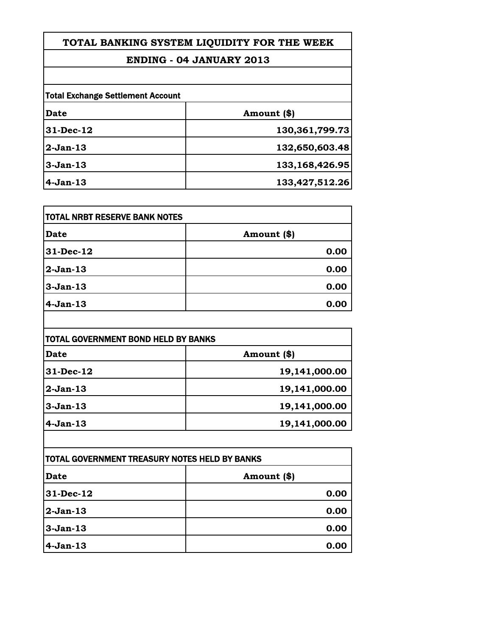**TOTAL BANKING SYSTEM LIQUIDITY FOR THE WEEK**

## **ENDING - 04 JANUARY 2013**

| <b>Total Exchange Settlement Account</b> |                   |
|------------------------------------------|-------------------|
| Date                                     | Amount (\$)       |
| $31$ -Dec-12                             | 130, 361, 799. 73 |
| $2-Jan-13$                               | 132,650,603.48    |
| $3-Jan-13$                               | 133, 168, 426. 95 |
| $4-Jan-13$                               | 133,427,512.26    |

| <b>ITOTAL NRBT RESERVE BANK NOTES</b> |             |
|---------------------------------------|-------------|
| Date                                  | Amount (\$) |
| 31-Dec-12                             | 0.00        |
| 2-Jan-13                              | 0.00        |
| $3-Jan-13$                            | 0.00        |
| $4-Jan-13$                            | 0.00        |

| TOTAL GOVERNMENT BOND HELD BY BANKS |               |  |
|-------------------------------------|---------------|--|
| Date                                | Amount (\$)   |  |
| 31-Dec-12                           | 19,141,000.00 |  |
| 2-Jan-13                            | 19,141,000.00 |  |
| 3-Jan-13                            | 19,141,000.00 |  |
| $4-Jan-13$                          | 19,141,000.00 |  |

| TOTAL GOVERNMENT TREASURY NOTES HELD BY BANKS |              |
|-----------------------------------------------|--------------|
| <b>Date</b>                                   | Amount $(*)$ |
| $ 31 - Dec-12 $                               | 0.00         |
| 2-Jan-13                                      | 0.00         |
| $3-Jan-13$                                    | 0.00         |
| $4-Jan-13$                                    | 0.00         |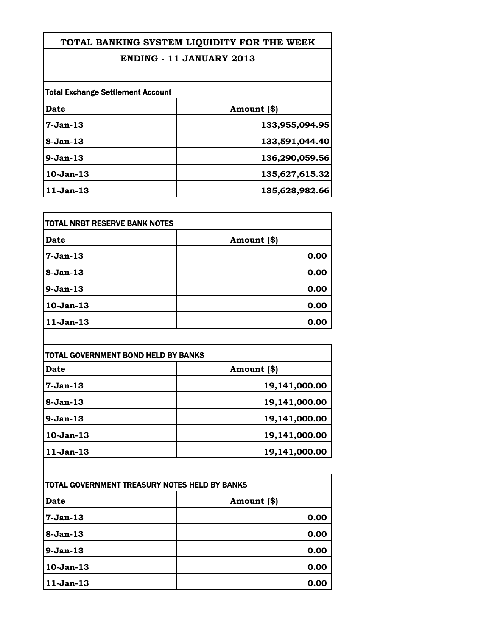**TOTAL BANKING SYSTEM LIQUIDITY FOR THE WEEK**

## **ENDING - 11 JANUARY 2013**

|             | <b>Total Exchange Settlement Account</b> |  |
|-------------|------------------------------------------|--|
| Date        | Amount (\$)                              |  |
| $7-Jan-13$  | 133,955,094.95                           |  |
| $8-Jan-13$  | 133,591,044.40                           |  |
| $9-Jan-13$  | 136,290,059.56                           |  |
| $10-Jan-13$ | 135,627,615.32                           |  |
| $11-Jan-13$ | 135,628,982.66                           |  |

| TOTAL NRBT RESERVE BANK NOTES |             |
|-------------------------------|-------------|
| Date                          | Amount (\$) |
| 7-Jan-13                      | 0.00        |
| 8-Jan-13                      | 0.00        |
| 9-Jan-13                      | 0.00        |
| 10-Jan-13                     | 0.00        |
| 11-Jan-13                     | 0.00        |

| TOTAL GOVERNMENT BOND HELD BY BANKS |               |
|-------------------------------------|---------------|
| <b>Date</b>                         | Amount (\$)   |
| 7-Jan-13                            | 19,141,000.00 |
| 8-Jan-13                            | 19,141,000.00 |
| 9-Jan-13                            | 19,141,000.00 |
| 10-Jan-13                           | 19,141,000.00 |
| 11-Jan-13                           | 19,141,000.00 |

| TOTAL GOVERNMENT TREASURY NOTES HELD BY BANKS |             |
|-----------------------------------------------|-------------|
| Date                                          | Amount (\$) |
| 7-Jan-13                                      | 0.00        |
| $8-Jan-13$                                    | 0.00        |
| $9-Jan-13$                                    | 0.00        |
| $10-Jan-13$                                   | 0.00        |
| 11-Jan-13                                     | 0.00        |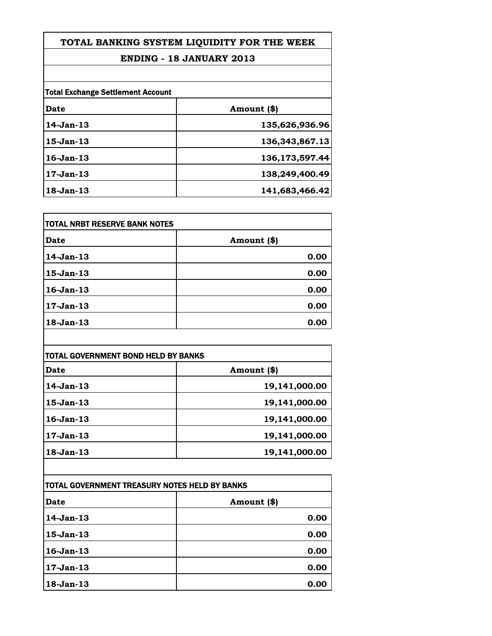**TOTAL BANKING SYSTEM LIQUIDITY FOR THE WEEK**

## **ENDING - 18 JANUARY 2013**

|                 | <b>Total Exchange Settlement Account</b> |  |
|-----------------|------------------------------------------|--|
| Date            | Amount (\$)                              |  |
| $14-Jan-13$     | 135,626,936.96                           |  |
| $15$ -Jan- $13$ | 136, 343, 867. 13                        |  |
| $16$ -Jan- $13$ | 136,173,597.44                           |  |
| $17-Jan-13$     | 138,249,400.49                           |  |
| 18-Jan-13       | 141,683,466.42                           |  |

| TOTAL NRBT RESERVE BANK NOTES |             |
|-------------------------------|-------------|
| Date                          | Amount (\$) |
| $14-Jan-13$                   | 0.00        |
| 15-Jan-13                     | 0.00        |
| $16$ -Jan-13                  | 0.00        |
| 17-Jan-13                     | 0.00        |
| 18-Jan-13                     | 0.00        |

| <b>TOTAL GOVERNMENT BOND HELD BY BANKS</b> |               |
|--------------------------------------------|---------------|
| Date                                       | Amount (\$)   |
| $14$ -Jan- $13$                            | 19,141,000.00 |
| $15$ -Jan- $13$                            | 19,141,000.00 |
| $16$ -Jan- $13$                            | 19,141,000.00 |
| 17-Jan-13                                  | 19,141,000.00 |
| $18$ -Jan- $13$                            | 19,141,000.00 |

| TOTAL GOVERNMENT TREASURY NOTES HELD BY BANKS |             |
|-----------------------------------------------|-------------|
| Date                                          | Amount (\$) |
| 14-Jan-13                                     | 0.00        |
| 15-Jan-13                                     | 0.00        |
| $16$ -Jan- $13$                               | 0.00        |
| $17-Jan-13$                                   | 0.00        |
| 18-Jan-13                                     | 0.00        |